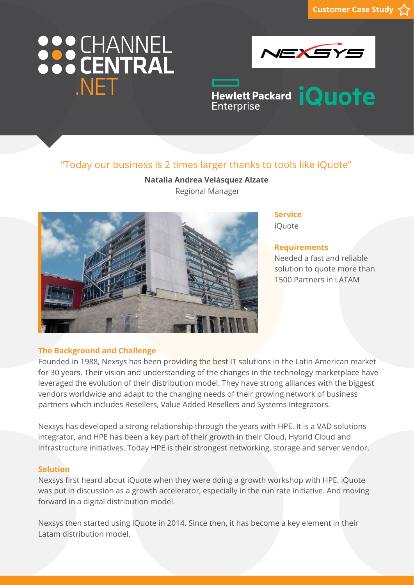# 888 CHANNEL NFT



Hewlett Packard **iQuote Enterprise** 

### "Today our business is 2 times larger thanks to tools like iQuote"

**Natalia Andrea Velásquez Alzate**  Regional Manager



#### **Service** iQuote

#### **Requirements**

Needed a fast and reliable solution to quote more than 1500 Partners in LATAM

#### **The Background and Challenge**

Founded in 1988, Nexsys has been providing the best IT solutions in the Latin American market for 30 years. Their vision and understanding of the changes in the technology marketplace have leveraged the evolution of their distribution model. They have strong alliances with the biggest vendors worldwide and adapt to the changing needs of their growing network of business partners which includes Resellers, Value Added Resellers and Systems Integrators.

Nexsys has developed a strong relationship through the years with HPE. It is a VAD solutions integrator, and HPE has been a key part of their growth in their Cloud, Hybrid Cloud and infrastructure initiatives. Today HPE is their strongest networking, storage and server vendor.

#### **Solution**

Nexsys first heard about iQuote when they were doing a growth workshop with HPE. iQuote was put in discussion as a growth accelerator, especially in the run rate initiative. And moving forward in a digital distribution model.

Nexsys then started using iQuote in 2014. Since then, it has become a key element in their Latam distribution model.